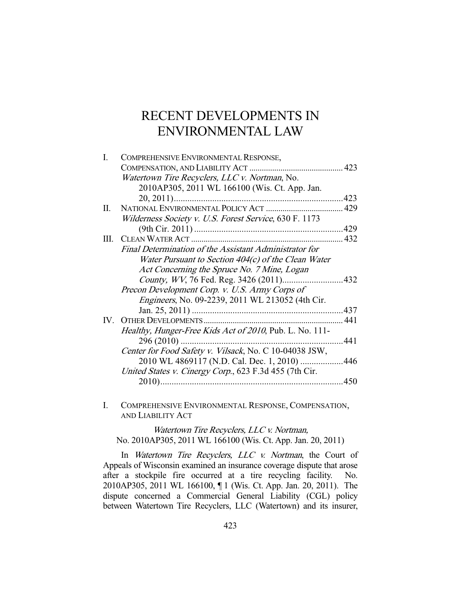# RECENT DEVELOPMENTS IN ENVIRONMENTAL LAW

| L        | COMPREHENSIVE ENVIRONMENTAL RESPONSE,                    |      |
|----------|----------------------------------------------------------|------|
|          |                                                          |      |
|          | Watertown Tire Recyclers, LLC v. Nortman, No.            |      |
|          | 2010AP305, 2011 WL 166100 (Wis. Ct. App. Jan.            |      |
|          |                                                          |      |
| П.       |                                                          |      |
|          | Wilderness Society v. U.S. Forest Service, 630 F. 1173   |      |
|          |                                                          |      |
| III.     |                                                          |      |
|          | Final Determination of the Assistant Administrator for   |      |
|          | Water Pursuant to Section 404(c) of the Clean Water      |      |
|          | Act Concerning the Spruce No. 7 Mine, Logan              |      |
|          |                                                          |      |
|          | Precon Development Corp. v. U.S. Army Corps of           |      |
|          | <i>Engineers</i> , No. 09-2239, 2011 WL 213052 (4th Cir. |      |
|          |                                                          |      |
| $IV_{-}$ |                                                          | -441 |
|          | Healthy, Hunger-Free Kids Act of 2010, Pub. L. No. 111-  |      |
|          | $296(2010)$                                              | .441 |
|          | Center for Food Safety v. Vilsack, No. C 10-04038 JSW,   |      |
|          | 2010 WL 4869117 (N.D. Cal. Dec. 1, 2010) 446             |      |
|          | United States v. Cinergy Corp., 623 F.3d 455 (7th Cir.   |      |
|          | $2010)$                                                  | .450 |
|          |                                                          |      |

I. COMPREHENSIVE ENVIRONMENTAL RESPONSE, COMPENSATION, AND LIABILITY ACT

Watertown Tire Recyclers, LLC v. Nortman, No. 2010AP305, 2011 WL 166100 (Wis. Ct. App. Jan. 20, 2011)

In Watertown Tire Recyclers, LLC v. Nortman, the Court of Appeals of Wisconsin examined an insurance coverage dispute that arose after a stockpile fire occurred at a tire recycling facility. No. 2010AP305, 2011 WL 166100, ¶ 1 (Wis. Ct. App. Jan. 20, 2011). The dispute concerned a Commercial General Liability (CGL) policy between Watertown Tire Recyclers, LLC (Watertown) and its insurer,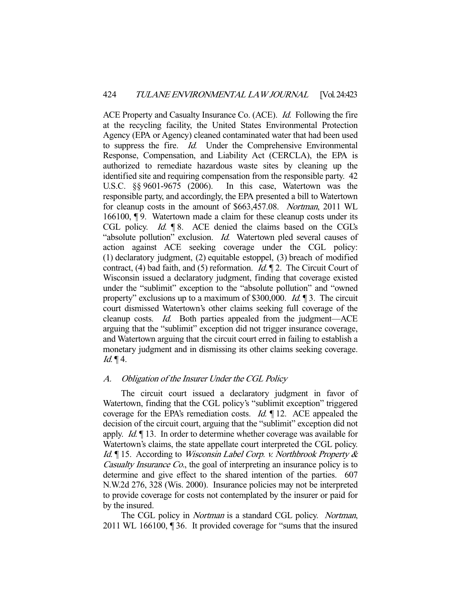ACE Property and Casualty Insurance Co. (ACE). *Id.* Following the fire at the recycling facility, the United States Environmental Protection Agency (EPA or Agency) cleaned contaminated water that had been used to suppress the fire. Id. Under the Comprehensive Environmental Response, Compensation, and Liability Act (CERCLA), the EPA is authorized to remediate hazardous waste sites by cleaning up the identified site and requiring compensation from the responsible party. 42 U.S.C. §§ 9601-9675 (2006). In this case, Watertown was the responsible party, and accordingly, the EPA presented a bill to Watertown for cleanup costs in the amount of \$663,457.08. Nortman, 2011 WL 166100, ¶ 9. Watertown made a claim for these cleanup costs under its CGL policy. Id.  $\lceil 8 \rceil$ . ACE denied the claims based on the CGL's "absolute pollution" exclusion. *Id.* Watertown pled several causes of action against ACE seeking coverage under the CGL policy: (1) declaratory judgment, (2) equitable estoppel, (3) breach of modified contract, (4) bad faith, and (5) reformation. *Id.*  $\P$  2. The Circuit Court of Wisconsin issued a declaratory judgment, finding that coverage existed under the "sublimit" exception to the "absolute pollution" and "owned property" exclusions up to a maximum of \$300,000. Id. ¶ 3. The circuit court dismissed Watertown's other claims seeking full coverage of the cleanup costs. Id. Both parties appealed from the judgment-ACE arguing that the "sublimit" exception did not trigger insurance coverage, and Watertown arguing that the circuit court erred in failing to establish a monetary judgment and in dismissing its other claims seeking coverage.  $Id. \P 4.$ 

# A. Obligation of the Insurer Under the CGL Policy

 The circuit court issued a declaratory judgment in favor of Watertown, finding that the CGL policy's "sublimit exception" triggered coverage for the EPA's remediation costs. *Id.* 12. ACE appealed the decision of the circuit court, arguing that the "sublimit" exception did not apply. Id. ¶ 13. In order to determine whether coverage was available for Watertown's claims, the state appellate court interpreted the CGL policy. Id. ¶ 15. According to Wisconsin Label Corp. v. Northbrook Property & Casualty Insurance Co., the goal of interpreting an insurance policy is to determine and give effect to the shared intention of the parties. 607 N.W.2d 276, 328 (Wis. 2000). Insurance policies may not be interpreted to provide coverage for costs not contemplated by the insurer or paid for by the insured.

The CGL policy in *Nortman* is a standard CGL policy. Nortman, 2011 WL 166100, ¶ 36. It provided coverage for "sums that the insured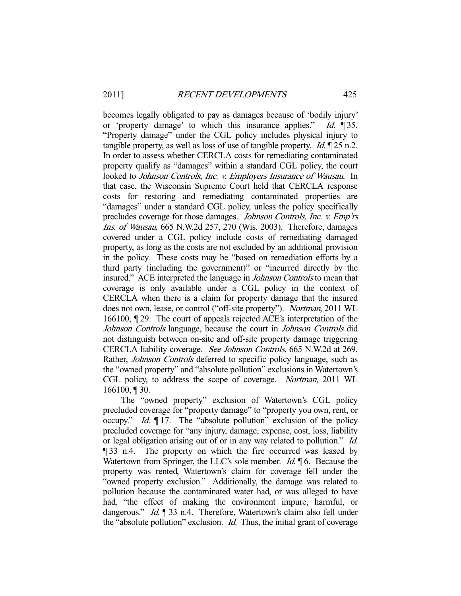becomes legally obligated to pay as damages because of 'bodily injury' or 'property damage' to which this insurance applies." Id. ¶ 35. "Property damage" under the CGL policy includes physical injury to tangible property, as well as loss of use of tangible property. *Id.*  $\sqrt{25}$  n.2. In order to assess whether CERCLA costs for remediating contaminated property qualify as "damages" within a standard CGL policy, the court looked to Johnson Controls, Inc. v. Employers Insurance of Wausau. In that case, the Wisconsin Supreme Court held that CERCLA response costs for restoring and remediating contaminated properties are "damages" under a standard CGL policy, unless the policy specifically precludes coverage for those damages. Johnson Controls, Inc. v. Emp'rs Ins. of Wausau, 665 N.W.2d 257, 270 (Wis. 2003). Therefore, damages covered under a CGL policy include costs of remediating damaged property, as long as the costs are not excluded by an additional provision in the policy. These costs may be "based on remediation efforts by a third party (including the government)" or "incurred directly by the insured." ACE interpreted the language in Johnson Controls to mean that coverage is only available under a CGL policy in the context of CERCLA when there is a claim for property damage that the insured does not own, lease, or control ("off-site property"). Nortman, 2011 WL 166100, ¶ 29. The court of appeals rejected ACE's interpretation of the Johnson Controls language, because the court in Johnson Controls did not distinguish between on-site and off-site property damage triggering CERCLA liability coverage. See Johnson Controls, 665 N.W.2d at 269. Rather, Johnson Controls deferred to specific policy language, such as the "owned property" and "absolute pollution" exclusions in Watertown's CGL policy, to address the scope of coverage. Nortman, 2011 WL 166100, ¶ 30.

 The "owned property" exclusion of Watertown's CGL policy precluded coverage for "property damage" to "property you own, rent, or occupy." *Id.*  $\llbracket$  17. The "absolute pollution" exclusion of the policy precluded coverage for "any injury, damage, expense, cost, loss, liability or legal obligation arising out of or in any way related to pollution." Id. ¶ 33 n.4. The property on which the fire occurred was leased by Watertown from Springer, the LLC's sole member.  $Id$ .  $\P$  6. Because the property was rented, Watertown's claim for coverage fell under the "owned property exclusion." Additionally, the damage was related to pollution because the contaminated water had, or was alleged to have had, "the effect of making the environment impure, harmful, or dangerous." Id. ¶ 33 n.4. Therefore, Watertown's claim also fell under the "absolute pollution" exclusion. Id. Thus, the initial grant of coverage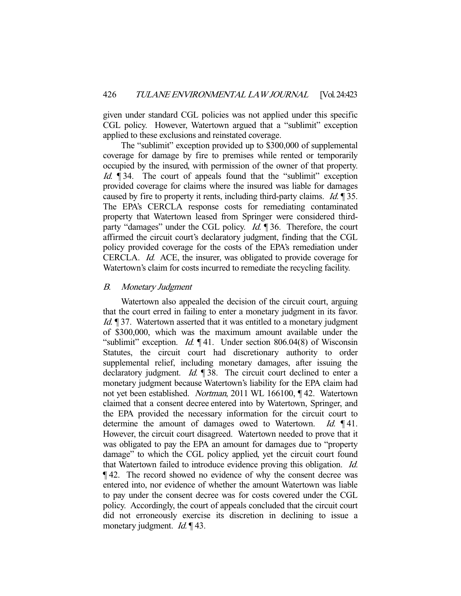given under standard CGL policies was not applied under this specific CGL policy. However, Watertown argued that a "sublimit" exception applied to these exclusions and reinstated coverage.

 The "sublimit" exception provided up to \$300,000 of supplemental coverage for damage by fire to premises while rented or temporarily occupied by the insured, with permission of the owner of that property. Id. ¶ 34. The court of appeals found that the "sublimit" exception provided coverage for claims where the insured was liable for damages caused by fire to property it rents, including third-party claims. *Id.* 135. The EPA's CERCLA response costs for remediating contaminated property that Watertown leased from Springer were considered thirdparty "damages" under the CGL policy. *Id.* 136. Therefore, the court affirmed the circuit court's declaratory judgment, finding that the CGL policy provided coverage for the costs of the EPA's remediation under CERCLA. Id. ACE, the insurer, was obligated to provide coverage for Watertown's claim for costs incurred to remediate the recycling facility.

## B. Monetary Judgment

 Watertown also appealed the decision of the circuit court, arguing that the court erred in failing to enter a monetary judgment in its favor. Id. 137. Watertown asserted that it was entitled to a monetary judgment of \$300,000, which was the maximum amount available under the "sublimit" exception. *Id.*  $\llbracket 41$ . Under section 806.04(8) of Wisconsin Statutes, the circuit court had discretionary authority to order supplemental relief, including monetary damages, after issuing the declaratory judgment. *Id.* ¶ 38. The circuit court declined to enter a monetary judgment because Watertown's liability for the EPA claim had not yet been established. Nortman, 2011 WL 166100, ¶ 42. Watertown claimed that a consent decree entered into by Watertown, Springer, and the EPA provided the necessary information for the circuit court to determine the amount of damages owed to Watertown. Id. 141. However, the circuit court disagreed. Watertown needed to prove that it was obligated to pay the EPA an amount for damages due to "property damage" to which the CGL policy applied, yet the circuit court found that Watertown failed to introduce evidence proving this obligation. Id. ¶ 42. The record showed no evidence of why the consent decree was entered into, nor evidence of whether the amount Watertown was liable to pay under the consent decree was for costs covered under the CGL policy. Accordingly, the court of appeals concluded that the circuit court did not erroneously exercise its discretion in declining to issue a monetary judgment. *Id.* 143.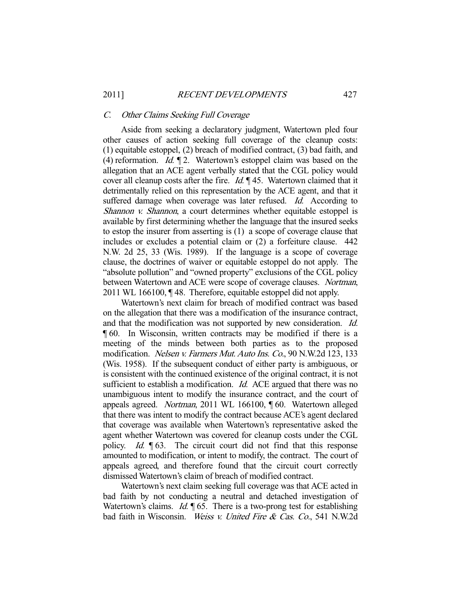#### C. Other Claims Seeking Full Coverage

 Aside from seeking a declaratory judgment, Watertown pled four other causes of action seeking full coverage of the cleanup costs: (1) equitable estoppel, (2) breach of modified contract, (3) bad faith, and (4) reformation. *Id.*  $\P$ 2. Watertown's estoppel claim was based on the allegation that an ACE agent verbally stated that the CGL policy would cover all cleanup costs after the fire. *Id.*  $\parallel$  45. Watertown claimed that it detrimentally relied on this representation by the ACE agent, and that it suffered damage when coverage was later refused. Id. According to Shannon v. Shannon, a court determines whether equitable estoppel is available by first determining whether the language that the insured seeks to estop the insurer from asserting is (1) a scope of coverage clause that includes or excludes a potential claim or (2) a forfeiture clause. 442 N.W. 2d 25, 33 (Wis. 1989). If the language is a scope of coverage clause, the doctrines of waiver or equitable estoppel do not apply. The "absolute pollution" and "owned property" exclusions of the CGL policy between Watertown and ACE were scope of coverage clauses. Nortman, 2011 WL 166100, ¶ 48. Therefore, equitable estoppel did not apply.

 Watertown's next claim for breach of modified contract was based on the allegation that there was a modification of the insurance contract, and that the modification was not supported by new consideration. Id. ¶ 60. In Wisconsin, written contracts may be modified if there is a meeting of the minds between both parties as to the proposed modification. Nelsen v. Farmers Mut. Auto Ins. Co., 90 N.W.2d 123, 133 (Wis. 1958). If the subsequent conduct of either party is ambiguous, or is consistent with the continued existence of the original contract, it is not sufficient to establish a modification. *Id.* ACE argued that there was no unambiguous intent to modify the insurance contract, and the court of appeals agreed. Nortman, 2011 WL 166100, ¶ 60. Watertown alleged that there was intent to modify the contract because ACE's agent declared that coverage was available when Watertown's representative asked the agent whether Watertown was covered for cleanup costs under the CGL policy. Id. ¶ 63. The circuit court did not find that this response amounted to modification, or intent to modify, the contract. The court of appeals agreed, and therefore found that the circuit court correctly dismissed Watertown's claim of breach of modified contract.

 Watertown's next claim seeking full coverage was that ACE acted in bad faith by not conducting a neutral and detached investigation of Watertown's claims. *Id.*  $\sqrt{165}$ . There is a two-prong test for establishing bad faith in Wisconsin. Weiss v. United Fire & Cas. Co., 541 N.W.2d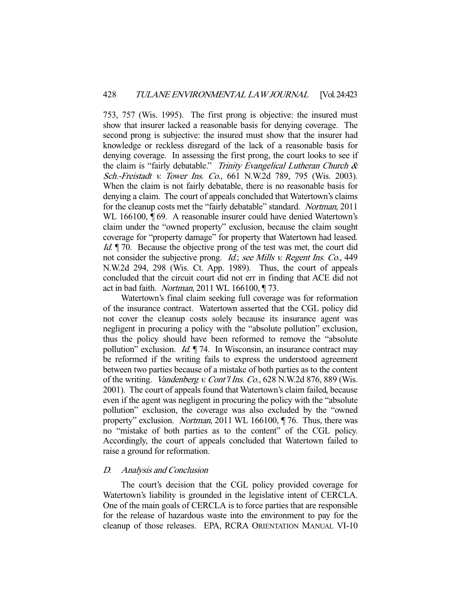753, 757 (Wis. 1995). The first prong is objective: the insured must show that insurer lacked a reasonable basis for denying coverage. The second prong is subjective: the insured must show that the insurer had knowledge or reckless disregard of the lack of a reasonable basis for denying coverage. In assessing the first prong, the court looks to see if the claim is "fairly debatable." Trinity Evangelical Lutheran Church  $\&$ Sch.-Freistadt v. Tower Ins. Co., 661 N.W.2d 789, 795 (Wis. 2003). When the claim is not fairly debatable, there is no reasonable basis for denying a claim. The court of appeals concluded that Watertown's claims for the cleanup costs met the "fairly debatable" standard. Nortman, 2011 WL 166100,  $\P$  69. A reasonable insurer could have denied Watertown's claim under the "owned property" exclusion, because the claim sought coverage for "property damage" for property that Watertown had leased. Id. *[170]* Because the objective prong of the test was met, the court did not consider the subjective prong. *Id.*; see Mills v. Regent Ins. Co., 449 N.W.2d 294, 298 (Wis. Ct. App. 1989). Thus, the court of appeals concluded that the circuit court did not err in finding that ACE did not act in bad faith. *Nortman*, 2011 WL 166100,  $\P$  73.

 Watertown's final claim seeking full coverage was for reformation of the insurance contract. Watertown asserted that the CGL policy did not cover the cleanup costs solely because its insurance agent was negligent in procuring a policy with the "absolute pollution" exclusion, thus the policy should have been reformed to remove the "absolute pollution" exclusion. *Id.* 174. In Wisconsin, an insurance contract may be reformed if the writing fails to express the understood agreement between two parties because of a mistake of both parties as to the content of the writing. Vandenberg v. Cont'l Ins. Co., 628 N.W.2d 876, 889 (Wis. 2001). The court of appeals found that Watertown's claim failed, because even if the agent was negligent in procuring the policy with the "absolute pollution" exclusion, the coverage was also excluded by the "owned property" exclusion. Nortman, 2011 WL 166100, ¶76. Thus, there was no "mistake of both parties as to the content" of the CGL policy. Accordingly, the court of appeals concluded that Watertown failed to raise a ground for reformation.

## D. Analysis and Conclusion

 The court's decision that the CGL policy provided coverage for Watertown's liability is grounded in the legislative intent of CERCLA. One of the main goals of CERCLA is to force parties that are responsible for the release of hazardous waste into the environment to pay for the cleanup of those releases. EPA, RCRA ORIENTATION MANUAL VI-10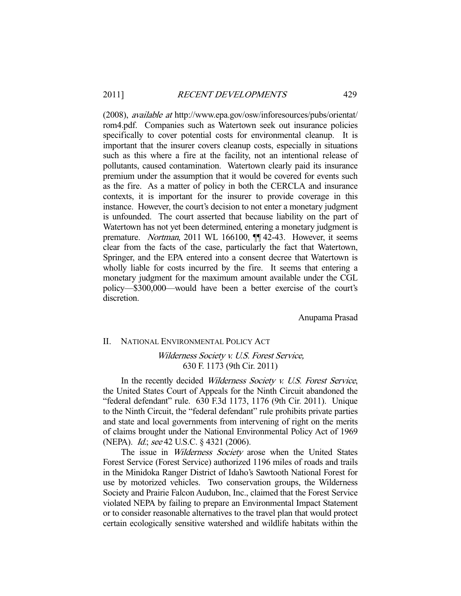(2008), available at http://www.epa.gov/osw/inforesources/pubs/orientat/ rom4.pdf. Companies such as Watertown seek out insurance policies specifically to cover potential costs for environmental cleanup. It is important that the insurer covers cleanup costs, especially in situations such as this where a fire at the facility, not an intentional release of pollutants, caused contamination. Watertown clearly paid its insurance premium under the assumption that it would be covered for events such as the fire. As a matter of policy in both the CERCLA and insurance contexts, it is important for the insurer to provide coverage in this instance. However, the court's decision to not enter a monetary judgment is unfounded. The court asserted that because liability on the part of Watertown has not yet been determined, entering a monetary judgment is premature. Nortman, 2011 WL 166100, ¶¶ 42-43. However, it seems clear from the facts of the case, particularly the fact that Watertown, Springer, and the EPA entered into a consent decree that Watertown is wholly liable for costs incurred by the fire. It seems that entering a monetary judgment for the maximum amount available under the CGL policy—\$300,000—would have been a better exercise of the court's discretion.

Anupama Prasad

#### II. NATIONAL ENVIRONMENTAL POLICY ACT

# Wilderness Society v. U.S. Forest Service, 630 F. 1173 (9th Cir. 2011)

In the recently decided Wilderness Society v. U.S. Forest Service, the United States Court of Appeals for the Ninth Circuit abandoned the "federal defendant" rule. 630 F.3d 1173, 1176 (9th Cir. 2011). Unique to the Ninth Circuit, the "federal defendant" rule prohibits private parties and state and local governments from intervening of right on the merits of claims brought under the National Environmental Policy Act of 1969 (NEPA). Id.; see 42 U.S.C. § 4321 (2006).

The issue in *Wilderness Society* arose when the United States Forest Service (Forest Service) authorized 1196 miles of roads and trails in the Minidoka Ranger District of Idaho's Sawtooth National Forest for use by motorized vehicles. Two conservation groups, the Wilderness Society and Prairie Falcon Audubon, Inc., claimed that the Forest Service violated NEPA by failing to prepare an Environmental Impact Statement or to consider reasonable alternatives to the travel plan that would protect certain ecologically sensitive watershed and wildlife habitats within the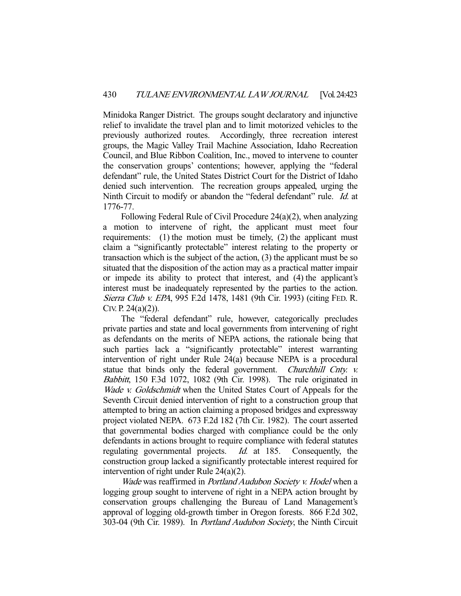Minidoka Ranger District. The groups sought declaratory and injunctive relief to invalidate the travel plan and to limit motorized vehicles to the previously authorized routes. Accordingly, three recreation interest groups, the Magic Valley Trail Machine Association, Idaho Recreation Council, and Blue Ribbon Coalition, Inc., moved to intervene to counter the conservation groups' contentions; however, applying the "federal defendant" rule, the United States District Court for the District of Idaho denied such intervention. The recreation groups appealed, urging the Ninth Circuit to modify or abandon the "federal defendant" rule. Id. at 1776-77.

 Following Federal Rule of Civil Procedure 24(a)(2), when analyzing a motion to intervene of right, the applicant must meet four requirements: (1) the motion must be timely, (2) the applicant must claim a "significantly protectable" interest relating to the property or transaction which is the subject of the action, (3) the applicant must be so situated that the disposition of the action may as a practical matter impair or impede its ability to protect that interest, and (4) the applicant's interest must be inadequately represented by the parties to the action. Sierra Club v. EPA, 995 F.2d 1478, 1481 (9th Cir. 1993) (citing FED. R. CIV. P. 24(a)(2)).

 The "federal defendant" rule, however, categorically precludes private parties and state and local governments from intervening of right as defendants on the merits of NEPA actions, the rationale being that such parties lack a "significantly protectable" interest warranting intervention of right under Rule 24(a) because NEPA is a procedural statue that binds only the federal government. Churchhill Cnty. v. Babbitt, 150 F.3d 1072, 1082 (9th Cir. 1998). The rule originated in Wade v. Goldschmidt when the United States Court of Appeals for the Seventh Circuit denied intervention of right to a construction group that attempted to bring an action claiming a proposed bridges and expressway project violated NEPA. 673 F.2d 182 (7th Cir. 1982). The court asserted that governmental bodies charged with compliance could be the only defendants in actions brought to require compliance with federal statutes regulating governmental projects. Id. at 185. Consequently, the construction group lacked a significantly protectable interest required for intervention of right under Rule 24(a)(2).

Wade was reaffirmed in Portland Audubon Society v. Hodel when a logging group sought to intervene of right in a NEPA action brought by conservation groups challenging the Bureau of Land Management's approval of logging old-growth timber in Oregon forests. 866 F.2d 302, 303-04 (9th Cir. 1989). In Portland Audubon Society, the Ninth Circuit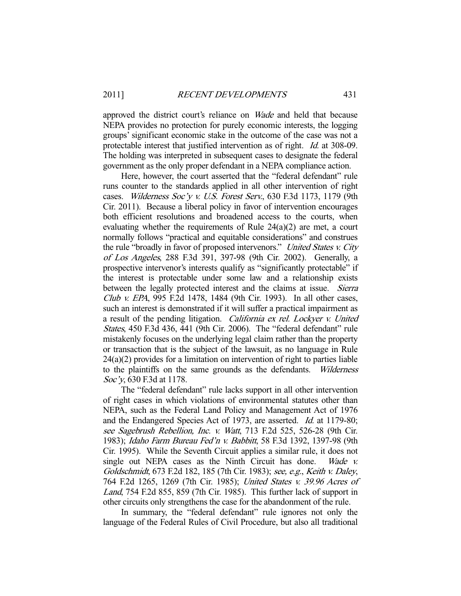approved the district court's reliance on Wade and held that because NEPA provides no protection for purely economic interests, the logging groups' significant economic stake in the outcome of the case was not a protectable interest that justified intervention as of right. Id. at 308-09. The holding was interpreted in subsequent cases to designate the federal government as the only proper defendant in a NEPA compliance action.

 Here, however, the court asserted that the "federal defendant" rule runs counter to the standards applied in all other intervention of right cases. Wilderness Soc'y v. U.S. Forest Serv., 630 F.3d 1173, 1179 (9th Cir. 2011). Because a liberal policy in favor of intervention encourages both efficient resolutions and broadened access to the courts, when evaluating whether the requirements of Rule 24(a)(2) are met, a court normally follows "practical and equitable considerations" and construes the rule "broadly in favor of proposed intervenors." United States v. City of Los Angeles, 288 F.3d 391, 397-98 (9th Cir. 2002). Generally, a prospective intervenor's interests qualify as "significantly protectable" if the interest is protectable under some law and a relationship exists between the legally protected interest and the claims at issue. Sierra Club v. EPA, 995 F.2d 1478, 1484 (9th Cir. 1993). In all other cases, such an interest is demonstrated if it will suffer a practical impairment as a result of the pending litigation. California ex rel. Lockyer v. United States, 450 F.3d 436, 441 (9th Cir. 2006). The "federal defendant" rule mistakenly focuses on the underlying legal claim rather than the property or transaction that is the subject of the lawsuit, as no language in Rule 24(a)(2) provides for a limitation on intervention of right to parties liable to the plaintiffs on the same grounds as the defendants. Wilderness Soc'y, 630 F.3d at 1178.

 The "federal defendant" rule lacks support in all other intervention of right cases in which violations of environmental statutes other than NEPA, such as the Federal Land Policy and Management Act of 1976 and the Endangered Species Act of 1973, are asserted. Id. at 1179-80; see Sagebrush Rebellion, Inc. v. Watt, 713 F.2d 525, 526-28 (9th Cir. 1983); Idaho Farm Bureau Fed'n v. Babbitt, 58 F.3d 1392, 1397-98 (9th Cir. 1995). While the Seventh Circuit applies a similar rule, it does not single out NEPA cases as the Ninth Circuit has done. Wade v. Goldschmidt, 673 F.2d 182, 185 (7th Cir. 1983); see, e.g., Keith v. Daley, 764 F.2d 1265, 1269 (7th Cir. 1985); United States v. 39.96 Acres of Land, 754 F.2d 855, 859 (7th Cir. 1985). This further lack of support in other circuits only strengthens the case for the abandonment of the rule.

 In summary, the "federal defendant" rule ignores not only the language of the Federal Rules of Civil Procedure, but also all traditional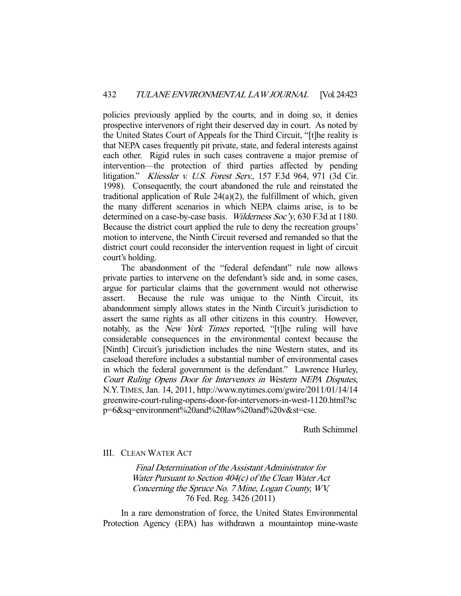policies previously applied by the courts, and in doing so, it denies prospective intervenors of right their deserved day in court. As noted by the United States Court of Appeals for the Third Circuit, "[t]he reality is that NEPA cases frequently pit private, state, and federal interests against each other. Rigid rules in such cases contravene a major premise of intervention—the protection of third parties affected by pending litigation." Kliessler v. U.S. Forest Serv., 157 F.3d 964, 971 (3d Cir. 1998). Consequently, the court abandoned the rule and reinstated the traditional application of Rule 24(a)(2), the fulfillment of which, given the many different scenarios in which NEPA claims arise, is to be determined on a case-by-case basis. Wilderness Soc'y, 630 F.3d at 1180. Because the district court applied the rule to deny the recreation groups' motion to intervene, the Ninth Circuit reversed and remanded so that the district court could reconsider the intervention request in light of circuit court's holding.

 The abandonment of the "federal defendant" rule now allows private parties to intervene on the defendant's side and, in some cases, argue for particular claims that the government would not otherwise assert. Because the rule was unique to the Ninth Circuit, its abandonment simply allows states in the Ninth Circuit's jurisdiction to assert the same rights as all other citizens in this country. However, notably, as the New York Times reported, "[t]he ruling will have considerable consequences in the environmental context because the [Ninth] Circuit's jurisdiction includes the nine Western states, and its caseload therefore includes a substantial number of environmental cases in which the federal government is the defendant." Lawrence Hurley, Court Ruling Opens Door for Intervenors in Western NEPA Disputes, N.Y.TIMES, Jan. 14, 2011, http://www.nytimes.com/gwire/2011/01/14/14 greenwire-court-ruling-opens-door-for-intervenors-in-west-1120.html?sc p=6&sq=environment%20and%20law%20and%20v&st=cse.

Ruth Schimmel

III. CLEAN WATER ACT

Final Determination of the Assistant Administrator for Water Pursuant to Section 404(c) of the Clean Water Act Concerning the Spruce No. 7 Mine, Logan County, WV, 76 Fed. Reg. 3426 (2011)

 In a rare demonstration of force, the United States Environmental Protection Agency (EPA) has withdrawn a mountaintop mine-waste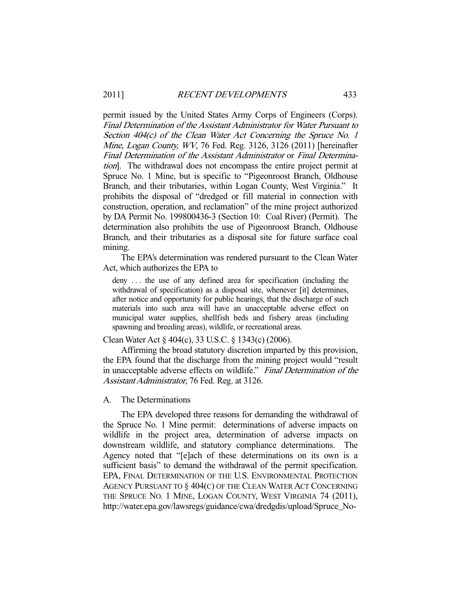permit issued by the United States Army Corps of Engineers (Corps). Final Determination of the Assistant Administrator for Water Pursuant to Section 404(c) of the Clean Water Act Concerning the Spruce No. 1 Mine, Logan County, WV, 76 Fed. Reg. 3126, 3126 (2011) [hereinafter Final Determination of the Assistant Administrator or Final Determination]. The withdrawal does not encompass the entire project permit at Spruce No. 1 Mine, but is specific to "Pigeonroost Branch, Oldhouse Branch, and their tributaries, within Logan County, West Virginia." It prohibits the disposal of "dredged or fill material in connection with construction, operation, and reclamation" of the mine project authorized by DA Permit No. 199800436-3 (Section 10: Coal River) (Permit). The determination also prohibits the use of Pigeonroost Branch, Oldhouse Branch, and their tributaries as a disposal site for future surface coal mining.

 The EPA's determination was rendered pursuant to the Clean Water Act, which authorizes the EPA to

deny . . . the use of any defined area for specification (including the withdrawal of specification) as a disposal site, whenever [it] determines, after notice and opportunity for public hearings, that the discharge of such materials into such area will have an unacceptable adverse effect on municipal water supplies, shellfish beds and fishery areas (including spawning and breeding areas), wildlife, or recreational areas.

Clean Water Act § 404(c), 33 U.S.C. § 1343(c) (2006).

 Affirming the broad statutory discretion imparted by this provision, the EPA found that the discharge from the mining project would "result in unacceptable adverse effects on wildlife." Final Determination of the Assistant Administrator, 76 Fed. Reg. at 3126.

#### A. The Determinations

 The EPA developed three reasons for demanding the withdrawal of the Spruce No. 1 Mine permit: determinations of adverse impacts on wildlife in the project area, determination of adverse impacts on downstream wildlife, and statutory compliance determinations. The Agency noted that "[e]ach of these determinations on its own is a sufficient basis" to demand the withdrawal of the permit specification. EPA, FINAL DETERMINATION OF THE U.S. ENVIRONMENTAL PROTECTION AGENCY PURSUANT TO § 404(C) OF THE CLEAN WATER ACT CONCERNING THE SPRUCE NO. 1 MINE, LOGAN COUNTY, WEST VIRGINIA 74 (2011), http://water.epa.gov/lawsregs/guidance/cwa/dredgdis/upload/Spruce\_No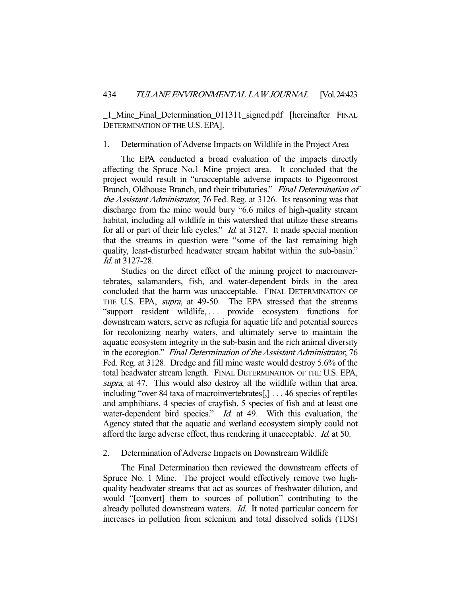\_1\_Mine\_Final\_Determination\_011311\_signed.pdf [hereinafter FINAL DETERMINATION OF THE U.S. EPA].

#### 1. Determination of Adverse Impacts on Wildlife in the Project Area

 The EPA conducted a broad evaluation of the impacts directly affecting the Spruce No.1 Mine project area. It concluded that the project would result in "unacceptable adverse impacts to Pigeonroost Branch, Oldhouse Branch, and their tributaries." Final Determination of the Assistant Administrator, 76 Fed. Reg. at 3126. Its reasoning was that discharge from the mine would bury "6.6 miles of high-quality stream habitat, including all wildlife in this watershed that utilize these streams for all or part of their life cycles." Id. at 3127. It made special mention that the streams in question were "some of the last remaining high quality, least-disturbed headwater stream habitat within the sub-basin." Id. at 3127-28.

 Studies on the direct effect of the mining project to macroinvertebrates, salamanders, fish, and water-dependent birds in the area concluded that the harm was unacceptable. FINAL DETERMINATION OF THE U.S. EPA, *supra*, at 49-50. The EPA stressed that the streams "support resident wildlife, ... provide ecosystem functions for downstream waters, serve as refugia for aquatic life and potential sources for recolonizing nearby waters, and ultimately serve to maintain the aquatic ecosystem integrity in the sub-basin and the rich animal diversity in the ecoregion." Final Determination of the Assistant Administrator, 76 Fed. Reg. at 3128. Dredge and fill mine waste would destroy 5.6% of the total headwater stream length. FINAL DETERMINATION OF THE U.S. EPA, supra, at 47. This would also destroy all the wildlife within that area, including "over 84 taxa of macroinvertebrates[,] . . . 46 species of reptiles and amphibians, 4 species of crayfish, 5 species of fish and at least one water-dependent bird species." *Id.* at 49. With this evaluation, the Agency stated that the aquatic and wetland ecosystem simply could not afford the large adverse effect, thus rendering it unacceptable. Id. at 50.

### 2. Determination of Adverse Impacts on Downstream Wildlife

 The Final Determination then reviewed the downstream effects of Spruce No. 1 Mine. The project would effectively remove two highquality headwater streams that act as sources of freshwater dilution, and would "[convert] them to sources of pollution" contributing to the already polluted downstream waters. Id. It noted particular concern for increases in pollution from selenium and total dissolved solids (TDS)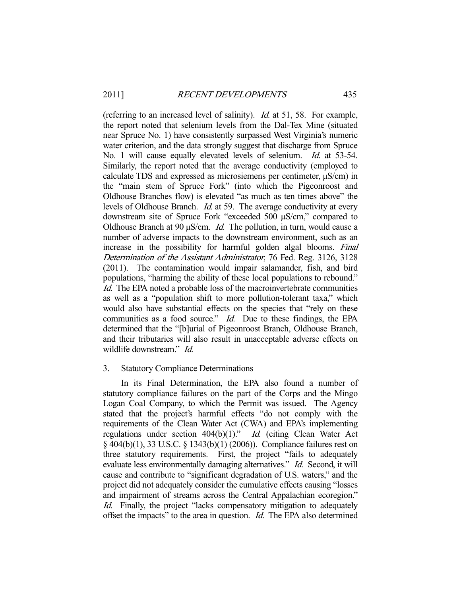(referring to an increased level of salinity). Id. at 51, 58. For example, the report noted that selenium levels from the Dal-Tex Mine (situated near Spruce No. 1) have consistently surpassed West Virginia's numeric water criterion, and the data strongly suggest that discharge from Spruce No. 1 will cause equally elevated levels of selenium. *Id.* at 53-54. Similarly, the report noted that the average conductivity (employed to calculate TDS and expressed as microsiemens per centimeter, µS/cm) in the "main stem of Spruce Fork" (into which the Pigeonroost and Oldhouse Branches flow) is elevated "as much as ten times above" the levels of Oldhouse Branch. Id. at 59. The average conductivity at every downstream site of Spruce Fork "exceeded 500 µS/cm," compared to Oldhouse Branch at 90  $\mu$ S/cm. *Id.* The pollution, in turn, would cause a number of adverse impacts to the downstream environment, such as an increase in the possibility for harmful golden algal blooms. Final Determination of the Assistant Administrator, 76 Fed. Reg. 3126, 3128 (2011). The contamination would impair salamander, fish, and bird populations, "harming the ability of these local populations to rebound." Id. The EPA noted a probable loss of the macroinvertebrate communities as well as a "population shift to more pollution-tolerant taxa," which would also have substantial effects on the species that "rely on these communities as a food source." *Id.* Due to these findings, the EPA determined that the "[b]urial of Pigeonroost Branch, Oldhouse Branch, and their tributaries will also result in unacceptable adverse effects on wildlife downstream." *Id.* 

## 3. Statutory Compliance Determinations

 In its Final Determination, the EPA also found a number of statutory compliance failures on the part of the Corps and the Mingo Logan Coal Company, to which the Permit was issued. The Agency stated that the project's harmful effects "do not comply with the requirements of the Clean Water Act (CWA) and EPA's implementing regulations under section 404(b)(1)." Id. (citing Clean Water Act § 404(b)(1), 33 U.S.C. § 1343(b)(1) (2006)). Compliance failures rest on three statutory requirements. First, the project "fails to adequately evaluate less environmentally damaging alternatives." Id. Second, it will cause and contribute to "significant degradation of U.S. waters," and the project did not adequately consider the cumulative effects causing "losses and impairment of streams across the Central Appalachian ecoregion." Id. Finally, the project "lacks compensatory mitigation to adequately offset the impacts" to the area in question. Id. The EPA also determined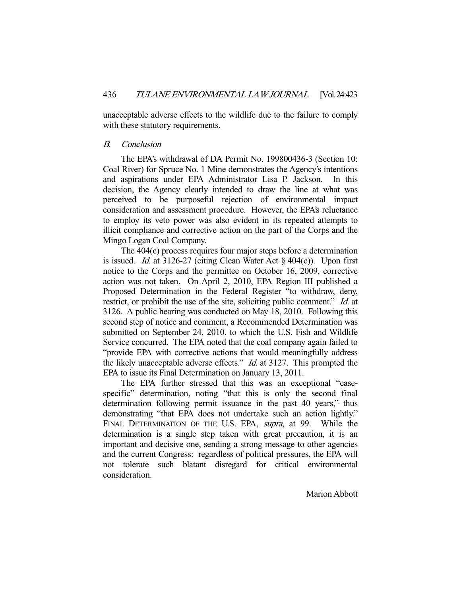unacceptable adverse effects to the wildlife due to the failure to comply with these statutory requirements.

# B. Conclusion

 The EPA's withdrawal of DA Permit No. 199800436-3 (Section 10: Coal River) for Spruce No. 1 Mine demonstrates the Agency's intentions and aspirations under EPA Administrator Lisa P. Jackson. In this decision, the Agency clearly intended to draw the line at what was perceived to be purposeful rejection of environmental impact consideration and assessment procedure. However, the EPA's reluctance to employ its veto power was also evident in its repeated attempts to illicit compliance and corrective action on the part of the Corps and the Mingo Logan Coal Company.

 The 404(c) process requires four major steps before a determination is issued. *Id.* at 3126-27 (citing Clean Water Act  $\S$  404(c)). Upon first notice to the Corps and the permittee on October 16, 2009, corrective action was not taken. On April 2, 2010, EPA Region III published a Proposed Determination in the Federal Register "to withdraw, deny, restrict, or prohibit the use of the site, soliciting public comment." Id. at 3126. A public hearing was conducted on May 18, 2010. Following this second step of notice and comment, a Recommended Determination was submitted on September 24, 2010, to which the U.S. Fish and Wildlife Service concurred. The EPA noted that the coal company again failed to "provide EPA with corrective actions that would meaningfully address the likely unacceptable adverse effects." Id. at 3127. This prompted the EPA to issue its Final Determination on January 13, 2011.

 The EPA further stressed that this was an exceptional "casespecific" determination, noting "that this is only the second final determination following permit issuance in the past 40 years," thus demonstrating "that EPA does not undertake such an action lightly." FINAL DETERMINATION OF THE U.S. EPA, *supra*, at 99. While the determination is a single step taken with great precaution, it is an important and decisive one, sending a strong message to other agencies and the current Congress: regardless of political pressures, the EPA will not tolerate such blatant disregard for critical environmental consideration.

Marion Abbott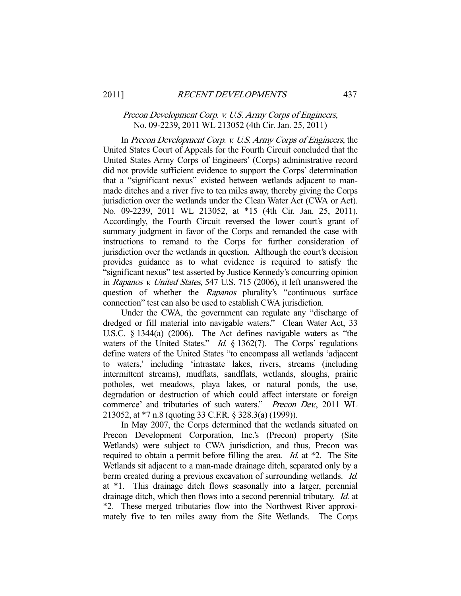## Precon Development Corp. v. U.S. Army Corps of Engineers, No. 09-2239, 2011 WL 213052 (4th Cir. Jan. 25, 2011)

 In Precon Development Corp. v. U.S. Army Corps of Engineers, the United States Court of Appeals for the Fourth Circuit concluded that the United States Army Corps of Engineers' (Corps) administrative record did not provide sufficient evidence to support the Corps' determination that a "significant nexus" existed between wetlands adjacent to manmade ditches and a river five to ten miles away, thereby giving the Corps jurisdiction over the wetlands under the Clean Water Act (CWA or Act). No. 09-2239, 2011 WL 213052, at \*15 (4th Cir. Jan. 25, 2011). Accordingly, the Fourth Circuit reversed the lower court's grant of summary judgment in favor of the Corps and remanded the case with instructions to remand to the Corps for further consideration of jurisdiction over the wetlands in question. Although the court's decision provides guidance as to what evidence is required to satisfy the "significant nexus" test asserted by Justice Kennedy's concurring opinion in Rapanos v. United States, 547 U.S. 715 (2006), it left unanswered the question of whether the Rapanos plurality's "continuous surface connection" test can also be used to establish CWA jurisdiction.

 Under the CWA, the government can regulate any "discharge of dredged or fill material into navigable waters." Clean Water Act, 33 U.S.C. § 1344(a) (2006). The Act defines navigable waters as "the waters of the United States." *Id.*  $\S$  1362(7). The Corps' regulations define waters of the United States "to encompass all wetlands 'adjacent to waters,' including 'intrastate lakes, rivers, streams (including intermittent streams), mudflats, sandflats, wetlands, sloughs, prairie potholes, wet meadows, playa lakes, or natural ponds, the use, degradation or destruction of which could affect interstate or foreign commerce' and tributaries of such waters." Precon Dev., 2011 WL 213052, at \*7 n.8 (quoting 33 C.F.R. § 328.3(a) (1999)).

 In May 2007, the Corps determined that the wetlands situated on Precon Development Corporation, Inc.'s (Precon) property (Site Wetlands) were subject to CWA jurisdiction, and thus, Precon was required to obtain a permit before filling the area. *Id.* at \*2. The Site Wetlands sit adjacent to a man-made drainage ditch, separated only by a berm created during a previous excavation of surrounding wetlands. *Id.* at \*1. This drainage ditch flows seasonally into a larger, perennial drainage ditch, which then flows into a second perennial tributary. Id. at \*2. These merged tributaries flow into the Northwest River approximately five to ten miles away from the Site Wetlands. The Corps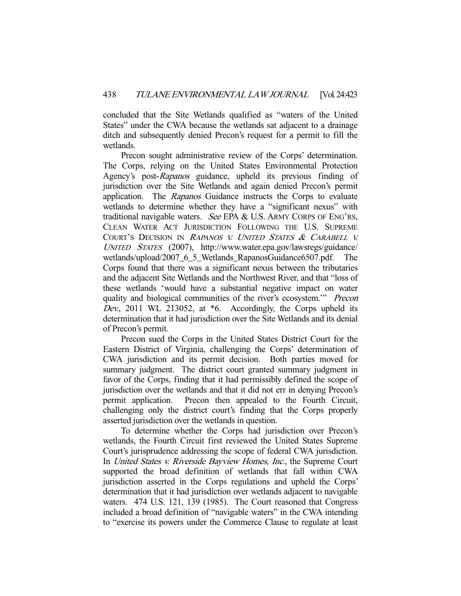concluded that the Site Wetlands qualified as "waters of the United States" under the CWA because the wetlands sat adjacent to a drainage ditch and subsequently denied Precon's request for a permit to fill the wetlands.

 Precon sought administrative review of the Corps' determination. The Corps, relying on the United States Environmental Protection Agency's post-Rapanos guidance, upheld its previous finding of jurisdiction over the Site Wetlands and again denied Precon's permit application. The Rapanos Guidance instructs the Corps to evaluate wetlands to determine whether they have a "significant nexus" with traditional navigable waters. See EPA & U.S. ARMY CORPS OF ENG'RS, CLEAN WATER ACT JURISDICTION FOLLOWING THE U.S. SUPREME COURT'S DECISION IN <sup>R</sup>APANOS V. <sup>U</sup>NITED STATES & <sup>C</sup>ARABELL V. <sup>U</sup>NITED STATES (2007), http://www.water.epa.gov/lawsregs/guidance/ wetlands/upload/2007\_6\_5\_Wetlands\_RapanosGuidance6507.pdf. The Corps found that there was a significant nexus between the tributaries and the adjacent Site Wetlands and the Northwest River, and that "loss of these wetlands 'would have a substantial negative impact on water quality and biological communities of the river's ecosystem." Precon Dev., 2011 WL 213052, at  $*6$ . Accordingly, the Corps upheld its determination that it had jurisdiction over the Site Wetlands and its denial of Precon's permit.

 Precon sued the Corps in the United States District Court for the Eastern District of Virginia, challenging the Corps' determination of CWA jurisdiction and its permit decision. Both parties moved for summary judgment. The district court granted summary judgment in favor of the Corps, finding that it had permissibly defined the scope of jurisdiction over the wetlands and that it did not err in denying Precon's permit application. Precon then appealed to the Fourth Circuit, challenging only the district court's finding that the Corps properly asserted jurisdiction over the wetlands in question.

 To determine whether the Corps had jurisdiction over Precon's wetlands, the Fourth Circuit first reviewed the United States Supreme Court's jurisprudence addressing the scope of federal CWA jurisdiction. In United States v. Riverside Bayview Homes, Inc., the Supreme Court supported the broad definition of wetlands that fall within CWA jurisdiction asserted in the Corps regulations and upheld the Corps' determination that it had jurisdiction over wetlands adjacent to navigable waters. 474 U.S. 121, 139 (1985). The Court reasoned that Congress included a broad definition of "navigable waters" in the CWA intending to "exercise its powers under the Commerce Clause to regulate at least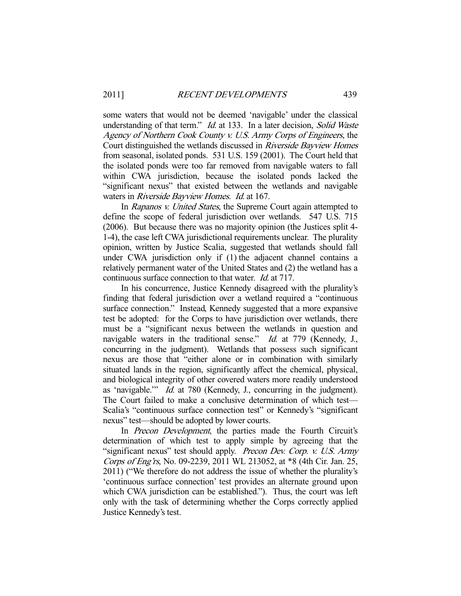some waters that would not be deemed 'navigable' under the classical understanding of that term." *Id.* at 133. In a later decision, *Solid Waste* Agency of Northern Cook County v. U.S. Army Corps of Engineers, the Court distinguished the wetlands discussed in Riverside Bayview Homes from seasonal, isolated ponds. 531 U.S. 159 (2001). The Court held that the isolated ponds were too far removed from navigable waters to fall within CWA jurisdiction, because the isolated ponds lacked the "significant nexus" that existed between the wetlands and navigable waters in Riverside Bayview Homes. Id. at 167.

In Rapanos v. United States, the Supreme Court again attempted to define the scope of federal jurisdiction over wetlands. 547 U.S. 715 (2006). But because there was no majority opinion (the Justices split 4- 1-4), the case left CWA jurisdictional requirements unclear. The plurality opinion, written by Justice Scalia, suggested that wetlands should fall under CWA jurisdiction only if (1) the adjacent channel contains a relatively permanent water of the United States and (2) the wetland has a continuous surface connection to that water. Id. at 717.

 In his concurrence, Justice Kennedy disagreed with the plurality's finding that federal jurisdiction over a wetland required a "continuous surface connection." Instead, Kennedy suggested that a more expansive test be adopted: for the Corps to have jurisdiction over wetlands, there must be a "significant nexus between the wetlands in question and navigable waters in the traditional sense." *Id.* at 779 (Kennedy, J., concurring in the judgment). Wetlands that possess such significant nexus are those that "either alone or in combination with similarly situated lands in the region, significantly affect the chemical, physical, and biological integrity of other covered waters more readily understood as 'navigable.'" Id. at 780 (Kennedy, J., concurring in the judgment). The Court failed to make a conclusive determination of which test— Scalia's "continuous surface connection test" or Kennedy's "significant nexus" test—should be adopted by lower courts.

In *Precon Development*, the parties made the Fourth Circuit's determination of which test to apply simple by agreeing that the "significant nexus" test should apply. Precon Dev. Corp. v. U.S. Army Corps of Eng'rs, No. 09-2239, 2011 WL 213052, at \*8 (4th Cir. Jan. 25, 2011) ("We therefore do not address the issue of whether the plurality's 'continuous surface connection' test provides an alternate ground upon which CWA jurisdiction can be established."). Thus, the court was left only with the task of determining whether the Corps correctly applied Justice Kennedy's test.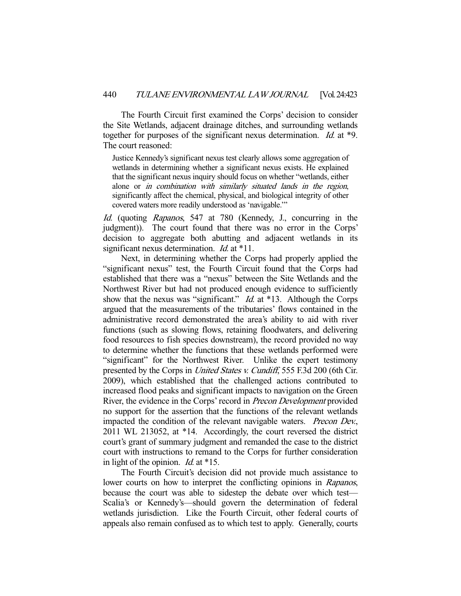The Fourth Circuit first examined the Corps' decision to consider the Site Wetlands, adjacent drainage ditches, and surrounding wetlands together for purposes of the significant nexus determination. Id. at \*9. The court reasoned:

Justice Kennedy's significant nexus test clearly allows some aggregation of wetlands in determining whether a significant nexus exists. He explained that the significant nexus inquiry should focus on whether "wetlands, either alone or in combination with similarly situated lands in the region, significantly affect the chemical, physical, and biological integrity of other covered waters more readily understood as 'navigable.'"

Id. (quoting Rapanos, 547 at 780 (Kennedy, J., concurring in the judgment)). The court found that there was no error in the Corps' decision to aggregate both abutting and adjacent wetlands in its significant nexus determination. *Id.* at \*11.

 Next, in determining whether the Corps had properly applied the "significant nexus" test, the Fourth Circuit found that the Corps had established that there was a "nexus" between the Site Wetlands and the Northwest River but had not produced enough evidence to sufficiently show that the nexus was "significant." *Id.* at \*13. Although the Corps argued that the measurements of the tributaries' flows contained in the administrative record demonstrated the area's ability to aid with river functions (such as slowing flows, retaining floodwaters, and delivering food resources to fish species downstream), the record provided no way to determine whether the functions that these wetlands performed were "significant" for the Northwest River. Unlike the expert testimony presented by the Corps in *United States v. Cundiff*, 555 F.3d 200 (6th Cir. 2009), which established that the challenged actions contributed to increased flood peaks and significant impacts to navigation on the Green River, the evidence in the Corps' record in Precon Development provided no support for the assertion that the functions of the relevant wetlands impacted the condition of the relevant navigable waters. Precon Dev., 2011 WL 213052, at \*14. Accordingly, the court reversed the district court's grant of summary judgment and remanded the case to the district court with instructions to remand to the Corps for further consideration in light of the opinion. *Id.* at  $*15$ .

 The Fourth Circuit's decision did not provide much assistance to lower courts on how to interpret the conflicting opinions in Rapanos, because the court was able to sidestep the debate over which test— Scalia's or Kennedy's—should govern the determination of federal wetlands jurisdiction. Like the Fourth Circuit, other federal courts of appeals also remain confused as to which test to apply. Generally, courts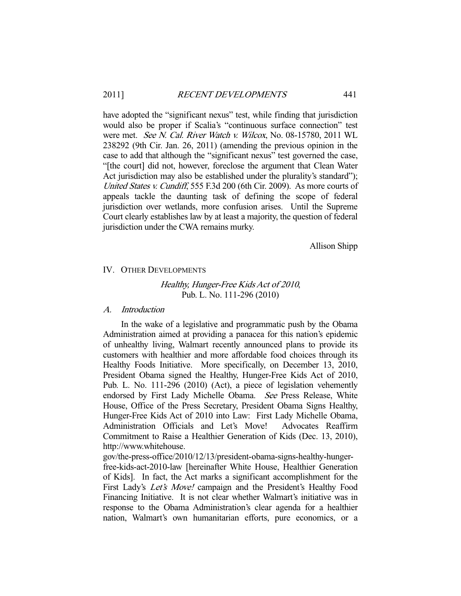have adopted the "significant nexus" test, while finding that jurisdiction would also be proper if Scalia's "continuous surface connection" test were met. See N. Cal. River Watch v. Wilcox, No. 08-15780, 2011 WL 238292 (9th Cir. Jan. 26, 2011) (amending the previous opinion in the case to add that although the "significant nexus" test governed the case, "[the court] did not, however, foreclose the argument that Clean Water Act jurisdiction may also be established under the plurality's standard"); United States v. Cundiff, 555 F.3d 200 (6th Cir. 2009). As more courts of appeals tackle the daunting task of defining the scope of federal jurisdiction over wetlands, more confusion arises. Until the Supreme Court clearly establishes law by at least a majority, the question of federal jurisdiction under the CWA remains murky.

Allison Shipp

### IV. OTHER DEVELOPMENTS

Healthy, Hunger-Free Kids Act of 2010, Pub. L. No. 111-296 (2010)

## A. Introduction

 In the wake of a legislative and programmatic push by the Obama Administration aimed at providing a panacea for this nation's epidemic of unhealthy living, Walmart recently announced plans to provide its customers with healthier and more affordable food choices through its Healthy Foods Initiative. More specifically, on December 13, 2010, President Obama signed the Healthy, Hunger-Free Kids Act of 2010, Pub. L. No. 111-296 (2010) (Act), a piece of legislation vehemently endorsed by First Lady Michelle Obama. See Press Release, White House, Office of the Press Secretary, President Obama Signs Healthy, Hunger-Free Kids Act of 2010 into Law: First Lady Michelle Obama, Administration Officials and Let's Move! Advocates Reaffirm Commitment to Raise a Healthier Generation of Kids (Dec. 13, 2010), http://www.whitehouse.

gov/the-press-office/2010/12/13/president-obama-signs-healthy-hunger-

free-kids-act-2010-law [hereinafter White House, Healthier Generation of Kids]. In fact, the Act marks a significant accomplishment for the First Lady's Let's Move! campaign and the President's Healthy Food Financing Initiative. It is not clear whether Walmart's initiative was in response to the Obama Administration's clear agenda for a healthier nation, Walmart's own humanitarian efforts, pure economics, or a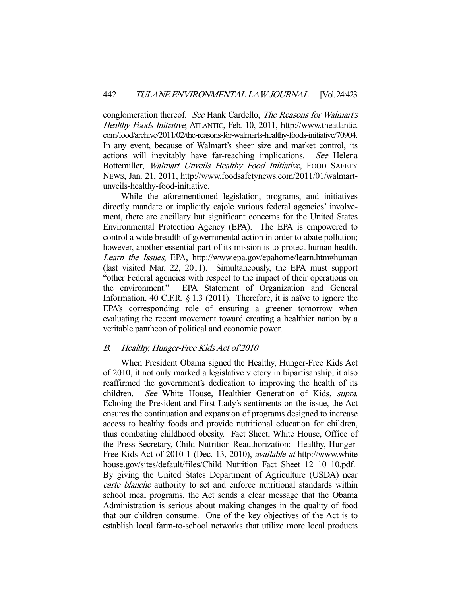conglomeration thereof. See Hank Cardello, The Reasons for Walmart's Healthy Foods Initiative, ATLANTIC, Feb. 10, 2011, http://www.theatlantic. com/food/archive/2011/02/the-reasons-for-walmarts-healthy-foods-initiative/70904. In any event, because of Walmart's sheer size and market control, its actions will inevitably have far-reaching implications. See Helena Bottemiller, Walmart Unveils Healthy Food Initiative, FOOD SAFETY NEWS, Jan. 21, 2011, http://www.foodsafetynews.com/2011/01/walmartunveils-healthy-food-initiative.

 While the aforementioned legislation, programs, and initiatives directly mandate or implicitly cajole various federal agencies' involvement, there are ancillary but significant concerns for the United States Environmental Protection Agency (EPA). The EPA is empowered to control a wide breadth of governmental action in order to abate pollution; however, another essential part of its mission is to protect human health. Learn the Issues, EPA, http://www.epa.gov/epahome/learn.htm#human (last visited Mar. 22, 2011). Simultaneously, the EPA must support "other Federal agencies with respect to the impact of their operations on the environment." EPA Statement of Organization and General Information, 40 C.F.R. § 1.3 (2011). Therefore, it is naïve to ignore the EPA's corresponding role of ensuring a greener tomorrow when evaluating the recent movement toward creating a healthier nation by a veritable pantheon of political and economic power.

## B. Healthy, Hunger-Free Kids Act of 2010

 When President Obama signed the Healthy, Hunger-Free Kids Act of 2010, it not only marked a legislative victory in bipartisanship, it also reaffirmed the government's dedication to improving the health of its children. See White House, Healthier Generation of Kids, supra. Echoing the President and First Lady's sentiments on the issue, the Act ensures the continuation and expansion of programs designed to increase access to healthy foods and provide nutritional education for children, thus combating childhood obesity. Fact Sheet, White House, Office of the Press Secretary, Child Nutrition Reauthorization: Healthy, Hunger-Free Kids Act of 2010 1 (Dec. 13, 2010), available at http://www.white house.gov/sites/default/files/Child\_Nutrition\_Fact\_Sheet\_12\_10\_10.pdf. By giving the United States Department of Agriculture (USDA) near carte blanche authority to set and enforce nutritional standards within school meal programs, the Act sends a clear message that the Obama Administration is serious about making changes in the quality of food that our children consume. One of the key objectives of the Act is to establish local farm-to-school networks that utilize more local products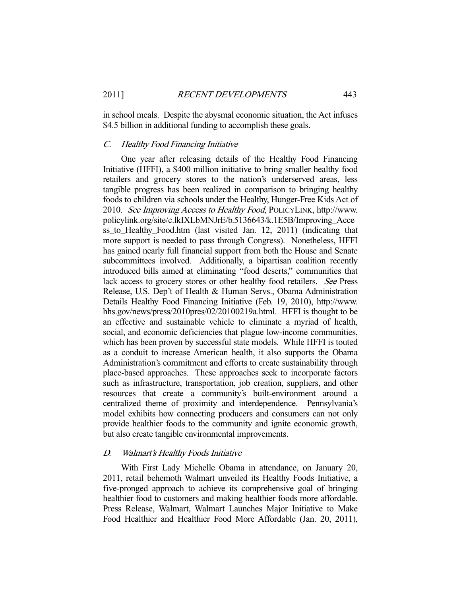in school meals. Despite the abysmal economic situation, the Act infuses \$4.5 billion in additional funding to accomplish these goals.

### C. Healthy Food Financing Initiative

 One year after releasing details of the Healthy Food Financing Initiative (HFFI), a \$400 million initiative to bring smaller healthy food retailers and grocery stores to the nation's underserved areas, less tangible progress has been realized in comparison to bringing healthy foods to children via schools under the Healthy, Hunger-Free Kids Act of 2010. See Improving Access to Healthy Food, POLICYLINK, http://www. policylink.org/site/c.lkIXLbMNJrE/b.5136643/k.1E5B/Improving\_Acce ss\_to\_Healthy\_Food.htm (last visited Jan. 12, 2011) (indicating that more support is needed to pass through Congress). Nonetheless, HFFI has gained nearly full financial support from both the House and Senate subcommittees involved. Additionally, a bipartisan coalition recently introduced bills aimed at eliminating "food deserts," communities that lack access to grocery stores or other healthy food retailers. See Press Release, U.S. Dep't of Health & Human Servs., Obama Administration Details Healthy Food Financing Initiative (Feb. 19, 2010), http://www. hhs.gov/news/press/2010pres/02/20100219a.html. HFFI is thought to be an effective and sustainable vehicle to eliminate a myriad of health, social, and economic deficiencies that plague low-income communities, which has been proven by successful state models. While HFFI is touted as a conduit to increase American health, it also supports the Obama Administration's commitment and efforts to create sustainability through place-based approaches. These approaches seek to incorporate factors such as infrastructure, transportation, job creation, suppliers, and other resources that create a community's built-environment around a centralized theme of proximity and interdependence. Pennsylvania's model exhibits how connecting producers and consumers can not only provide healthier foods to the community and ignite economic growth, but also create tangible environmental improvements.

### D. Walmart's Healthy Foods Initiative

 With First Lady Michelle Obama in attendance, on January 20, 2011, retail behemoth Walmart unveiled its Healthy Foods Initiative, a five-pronged approach to achieve its comprehensive goal of bringing healthier food to customers and making healthier foods more affordable. Press Release, Walmart, Walmart Launches Major Initiative to Make Food Healthier and Healthier Food More Affordable (Jan. 20, 2011),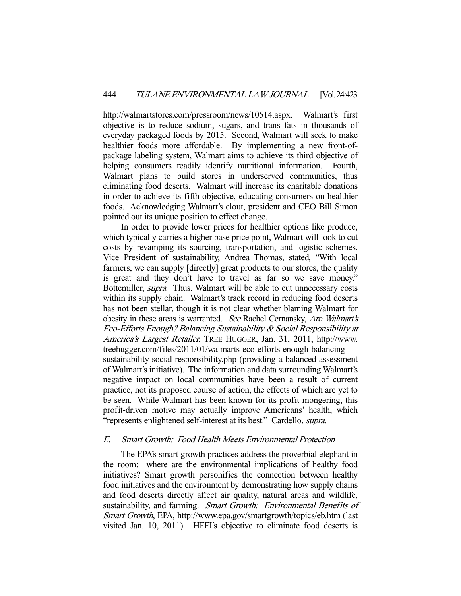http://walmartstores.com/pressroom/news/10514.aspx. Walmart's first objective is to reduce sodium, sugars, and trans fats in thousands of everyday packaged foods by 2015. Second, Walmart will seek to make healthier foods more affordable. By implementing a new front-ofpackage labeling system, Walmart aims to achieve its third objective of helping consumers readily identify nutritional information. Fourth, Walmart plans to build stores in underserved communities, thus eliminating food deserts. Walmart will increase its charitable donations in order to achieve its fifth objective, educating consumers on healthier foods. Acknowledging Walmart's clout, president and CEO Bill Simon pointed out its unique position to effect change.

 In order to provide lower prices for healthier options like produce, which typically carries a higher base price point, Walmart will look to cut costs by revamping its sourcing, transportation, and logistic schemes. Vice President of sustainability, Andrea Thomas, stated, "With local farmers, we can supply [directly] great products to our stores, the quality is great and they don't have to travel as far so we save money." Bottemiller, supra. Thus, Walmart will be able to cut unnecessary costs within its supply chain. Walmart's track record in reducing food deserts has not been stellar, though it is not clear whether blaming Walmart for obesity in these areas is warranted. See Rachel Cernansky, Are Walmart's Eco-Efforts Enough? Balancing Sustainability & Social Responsibility at America's Largest Retailer, TREE HUGGER, Jan. 31, 2011, http://www. treehugger.com/files/2011/01/walmarts-eco-efforts-enough-balancingsustainability-social-responsibility.php (providing a balanced assessment of Walmart's initiative). The information and data surrounding Walmart's negative impact on local communities have been a result of current practice, not its proposed course of action, the effects of which are yet to be seen. While Walmart has been known for its profit mongering, this profit-driven motive may actually improve Americans' health, which "represents enlightened self-interest at its best." Cardello, *supra*.

## E. Smart Growth: Food Health Meets Environmental Protection

 The EPA's smart growth practices address the proverbial elephant in the room: where are the environmental implications of healthy food initiatives? Smart growth personifies the connection between healthy food initiatives and the environment by demonstrating how supply chains and food deserts directly affect air quality, natural areas and wildlife, sustainability, and farming. Smart Growth: Environmental Benefits of Smart Growth, EPA, http://www.epa.gov/smartgrowth/topics/eb.htm (last visited Jan. 10, 2011). HFFI's objective to eliminate food deserts is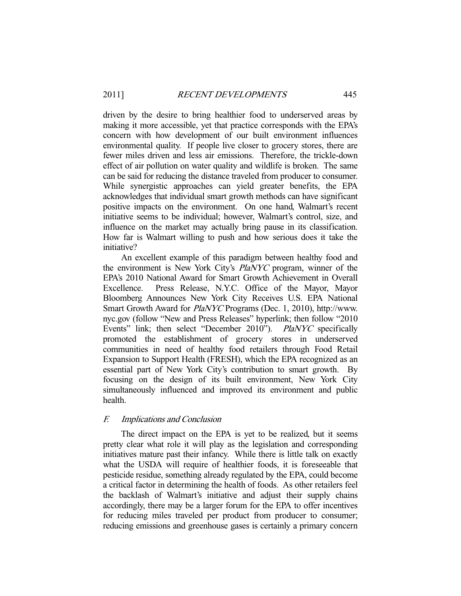driven by the desire to bring healthier food to underserved areas by making it more accessible, yet that practice corresponds with the EPA's concern with how development of our built environment influences environmental quality. If people live closer to grocery stores, there are fewer miles driven and less air emissions. Therefore, the trickle-down effect of air pollution on water quality and wildlife is broken. The same can be said for reducing the distance traveled from producer to consumer. While synergistic approaches can yield greater benefits, the EPA acknowledges that individual smart growth methods can have significant positive impacts on the environment. On one hand, Walmart's recent initiative seems to be individual; however, Walmart's control, size, and influence on the market may actually bring pause in its classification. How far is Walmart willing to push and how serious does it take the initiative?

 An excellent example of this paradigm between healthy food and the environment is New York City's PlaNYC program, winner of the EPA's 2010 National Award for Smart Growth Achievement in Overall Excellence. Press Release, N.Y.C. Office of the Mayor, Mayor Bloomberg Announces New York City Receives U.S. EPA National Smart Growth Award for PlaNYC Programs (Dec. 1, 2010), http://www. nyc.gov (follow "New and Press Releases" hyperlink; then follow "2010 Events" link; then select "December 2010"). *PlaNYC* specifically promoted the establishment of grocery stores in underserved communities in need of healthy food retailers through Food Retail Expansion to Support Health (FRESH), which the EPA recognized as an essential part of New York City's contribution to smart growth. By focusing on the design of its built environment, New York City simultaneously influenced and improved its environment and public health.

## F. Implications and Conclusion

 The direct impact on the EPA is yet to be realized, but it seems pretty clear what role it will play as the legislation and corresponding initiatives mature past their infancy. While there is little talk on exactly what the USDA will require of healthier foods, it is foreseeable that pesticide residue, something already regulated by the EPA, could become a critical factor in determining the health of foods. As other retailers feel the backlash of Walmart's initiative and adjust their supply chains accordingly, there may be a larger forum for the EPA to offer incentives for reducing miles traveled per product from producer to consumer; reducing emissions and greenhouse gases is certainly a primary concern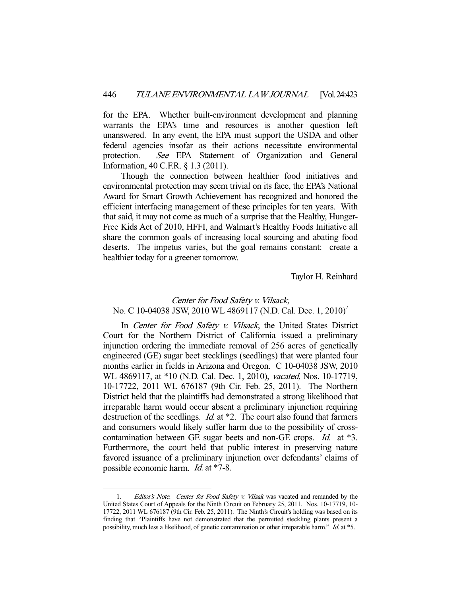for the EPA. Whether built-environment development and planning warrants the EPA's time and resources is another question left unanswered. In any event, the EPA must support the USDA and other federal agencies insofar as their actions necessitate environmental protection. See EPA Statement of Organization and General Information, 40 C.F.R. § 1.3 (2011).

 Though the connection between healthier food initiatives and environmental protection may seem trivial on its face, the EPA's National Award for Smart Growth Achievement has recognized and honored the efficient interfacing management of these principles for ten years. With that said, it may not come as much of a surprise that the Healthy, Hunger-Free Kids Act of 2010, HFFI, and Walmart's Healthy Foods Initiative all share the common goals of increasing local sourcing and abating food deserts. The impetus varies, but the goal remains constant: create a healthier today for a greener tomorrow.

Taylor H. Reinhard

# Center for Food Safety v. Vilsack, No. C 10-04038 JSW, 2010 WL 4869117 (N.D. Cal. Dec. 1, 2010)<sup>1</sup>

In Center for Food Safety v. Vilsack, the United States District Court for the Northern District of California issued a preliminary injunction ordering the immediate removal of 256 acres of genetically engineered (GE) sugar beet stecklings (seedlings) that were planted four months earlier in fields in Arizona and Oregon. C 10-04038 JSW, 2010 WL 4869117, at \*10 (N.D. Cal. Dec. 1, 2010), vacated, Nos. 10-17719, 10-17722, 2011 WL 676187 (9th Cir. Feb. 25, 2011). The Northern District held that the plaintiffs had demonstrated a strong likelihood that irreparable harm would occur absent a preliminary injunction requiring destruction of the seedlings. *Id.* at \*2. The court also found that farmers and consumers would likely suffer harm due to the possibility of crosscontamination between GE sugar beets and non-GE crops. Id. at \*3. Furthermore, the court held that public interest in preserving nature favored issuance of a preliminary injunction over defendants' claims of possible economic harm. *Id.* at \*7-8.

-

<sup>1.</sup> Editor's Note. Center for Food Safety v. Vilsak was vacated and remanded by the United States Court of Appeals for the Ninth Circuit on February 25, 2011. Nos. 10-17719, 10- 17722, 2011 WL 676187 (9th Cir. Feb. 25, 2011). The Ninth's Circuit's holding was based on its finding that "Plaintiffs have not demonstrated that the permitted steckling plants present a possibility, much less a likelihood, of genetic contamination or other irreparable harm." Id. at \*5.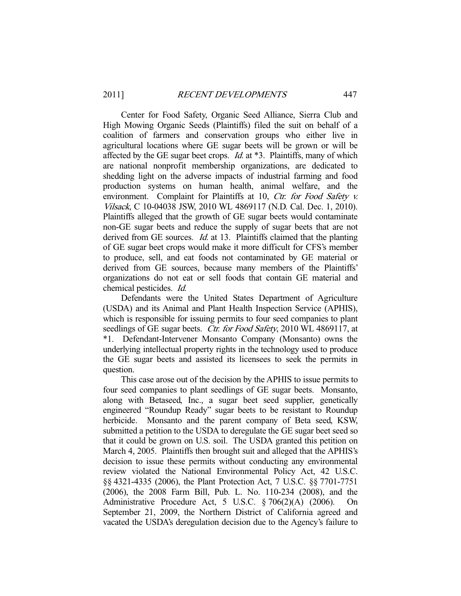Center for Food Safety, Organic Seed Alliance, Sierra Club and High Mowing Organic Seeds (Plaintiffs) filed the suit on behalf of a coalition of farmers and conservation groups who either live in agricultural locations where GE sugar beets will be grown or will be affected by the GE sugar beet crops. *Id.* at  $*3$ . Plaintiffs, many of which are national nonprofit membership organizations, are dedicated to shedding light on the adverse impacts of industrial farming and food production systems on human health, animal welfare, and the environment. Complaint for Plaintiffs at 10, Ctr. for Food Safety v. Vilsack, C 10-04038 JSW, 2010 WL 4869117 (N.D. Cal. Dec. 1, 2010). Plaintiffs alleged that the growth of GE sugar beets would contaminate non-GE sugar beets and reduce the supply of sugar beets that are not derived from GE sources. *Id.* at 13. Plaintiffs claimed that the planting of GE sugar beet crops would make it more difficult for CFS's member to produce, sell, and eat foods not contaminated by GE material or derived from GE sources, because many members of the Plaintiffs' organizations do not eat or sell foods that contain GE material and chemical pesticides. Id.

 Defendants were the United States Department of Agriculture (USDA) and its Animal and Plant Health Inspection Service (APHIS), which is responsible for issuing permits to four seed companies to plant seedlings of GE sugar beets. Ctr. for Food Safety, 2010 WL 4869117, at \*1. Defendant-Intervener Monsanto Company (Monsanto) owns the underlying intellectual property rights in the technology used to produce the GE sugar beets and assisted its licensees to seek the permits in question.

 This case arose out of the decision by the APHIS to issue permits to four seed companies to plant seedlings of GE sugar beets. Monsanto, along with Betaseed, Inc., a sugar beet seed supplier, genetically engineered "Roundup Ready" sugar beets to be resistant to Roundup herbicide. Monsanto and the parent company of Beta seed, KSW, submitted a petition to the USDA to deregulate the GE sugar beet seed so that it could be grown on U.S. soil. The USDA granted this petition on March 4, 2005. Plaintiffs then brought suit and alleged that the APHIS's decision to issue these permits without conducting any environmental review violated the National Environmental Policy Act, 42 U.S.C. §§ 4321-4335 (2006), the Plant Protection Act, 7 U.S.C. §§ 7701-7751 (2006), the 2008 Farm Bill, Pub. L. No. 110-234 (2008), and the Administrative Procedure Act, 5 U.S.C. § 706(2)(A) (2006). On September 21, 2009, the Northern District of California agreed and vacated the USDA's deregulation decision due to the Agency's failure to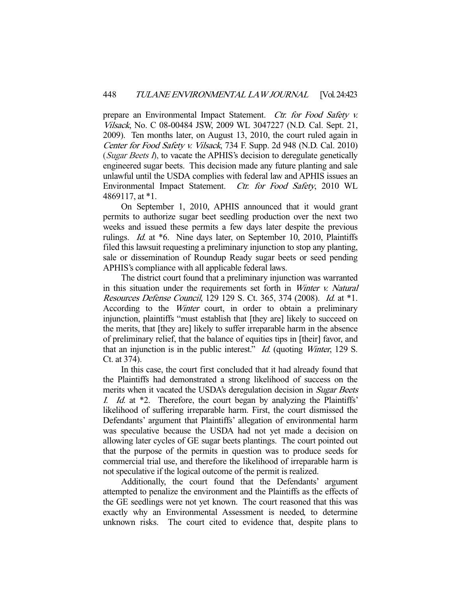prepare an Environmental Impact Statement. *Ctr. for Food Safety v.* Vilsack, No. C 08-00484 JSW, 2009 WL 3047227 (N.D. Cal. Sept. 21, 2009). Ten months later, on August 13, 2010, the court ruled again in Center for Food Safety v. Vilsack, 734 F. Supp. 2d 948 (N.D. Cal. 2010) (Sugar Beets  $I$ ), to vacate the APHIS's decision to deregulate genetically engineered sugar beets. This decision made any future planting and sale unlawful until the USDA complies with federal law and APHIS issues an Environmental Impact Statement. Ctr. for Food Safety, 2010 WL 4869117, at \*1.

 On September 1, 2010, APHIS announced that it would grant permits to authorize sugar beet seedling production over the next two weeks and issued these permits a few days later despite the previous rulings. Id. at \*6. Nine days later, on September 10, 2010, Plaintiffs filed this lawsuit requesting a preliminary injunction to stop any planting, sale or dissemination of Roundup Ready sugar beets or seed pending APHIS's compliance with all applicable federal laws.

 The district court found that a preliminary injunction was warranted in this situation under the requirements set forth in Winter v. Natural Resources Defense Council, 129 129 S. Ct. 365, 374 (2008). Id. at \*1. According to the Winter court, in order to obtain a preliminary injunction, plaintiffs "must establish that [they are] likely to succeed on the merits, that [they are] likely to suffer irreparable harm in the absence of preliminary relief, that the balance of equities tips in [their] favor, and that an injunction is in the public interest." *Id.* (quoting *Winter*, 129 S. Ct. at 374).

 In this case, the court first concluded that it had already found that the Plaintiffs had demonstrated a strong likelihood of success on the merits when it vacated the USDA's deregulation decision in Sugar Beets <sup>I</sup>. Id. at \*2. Therefore, the court began by analyzing the Plaintiffs' likelihood of suffering irreparable harm. First, the court dismissed the Defendants' argument that Plaintiffs' allegation of environmental harm was speculative because the USDA had not yet made a decision on allowing later cycles of GE sugar beets plantings. The court pointed out that the purpose of the permits in question was to produce seeds for commercial trial use, and therefore the likelihood of irreparable harm is not speculative if the logical outcome of the permit is realized.

 Additionally, the court found that the Defendants' argument attempted to penalize the environment and the Plaintiffs as the effects of the GE seedlings were not yet known. The court reasoned that this was exactly why an Environmental Assessment is needed, to determine unknown risks. The court cited to evidence that, despite plans to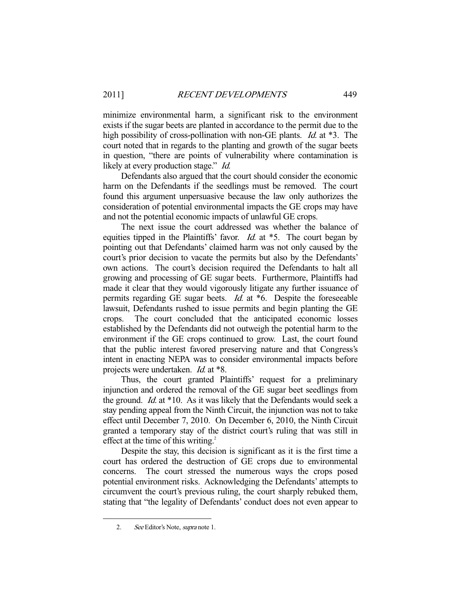minimize environmental harm, a significant risk to the environment exists if the sugar beets are planted in accordance to the permit due to the high possibility of cross-pollination with non-GE plants. *Id.* at \*3. The court noted that in regards to the planting and growth of the sugar beets in question, "there are points of vulnerability where contamination is likely at every production stage." *Id.* 

 Defendants also argued that the court should consider the economic harm on the Defendants if the seedlings must be removed. The court found this argument unpersuasive because the law only authorizes the consideration of potential environmental impacts the GE crops may have and not the potential economic impacts of unlawful GE crops.

 The next issue the court addressed was whether the balance of equities tipped in the Plaintiffs' favor. *Id.* at  $*5$ . The court began by pointing out that Defendants' claimed harm was not only caused by the court's prior decision to vacate the permits but also by the Defendants' own actions. The court's decision required the Defendants to halt all growing and processing of GE sugar beets. Furthermore, Plaintiffs had made it clear that they would vigorously litigate any further issuance of permits regarding GE sugar beets. Id. at \*6. Despite the foreseeable lawsuit, Defendants rushed to issue permits and begin planting the GE crops. The court concluded that the anticipated economic losses established by the Defendants did not outweigh the potential harm to the environment if the GE crops continued to grow. Last, the court found that the public interest favored preserving nature and that Congress's intent in enacting NEPA was to consider environmental impacts before projects were undertaken. Id. at \*8.

 Thus, the court granted Plaintiffs' request for a preliminary injunction and ordered the removal of the GE sugar beet seedlings from the ground. Id. at \*10. As it was likely that the Defendants would seek a stay pending appeal from the Ninth Circuit, the injunction was not to take effect until December 7, 2010. On December 6, 2010, the Ninth Circuit granted a temporary stay of the district court's ruling that was still in effect at the time of this writing.<sup>2</sup>

 Despite the stay, this decision is significant as it is the first time a court has ordered the destruction of GE crops due to environmental concerns. The court stressed the numerous ways the crops posed potential environment risks. Acknowledging the Defendants' attempts to circumvent the court's previous ruling, the court sharply rebuked them, stating that "the legality of Defendants' conduct does not even appear to

-

 <sup>2.</sup> See Editor's Note, supra note 1.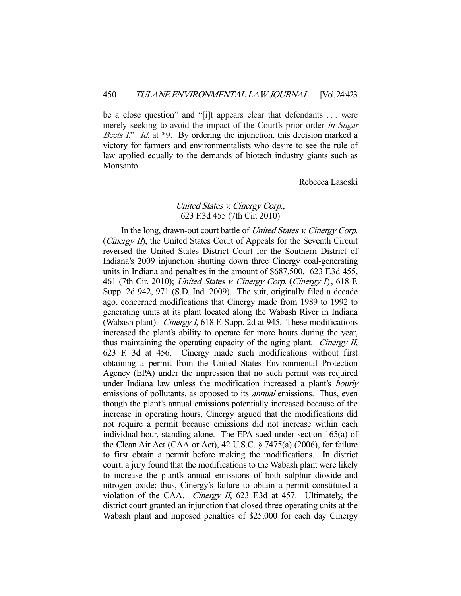be a close question" and "[i]t appears clear that defendants . . . were merely seeking to avoid the impact of the Court's prior order in Sugar Beets I." Id. at \*9. By ordering the injunction, this decision marked a victory for farmers and environmentalists who desire to see the rule of law applied equally to the demands of biotech industry giants such as Monsanto.

Rebecca Lasoski

# United States v. Cinergy Corp., 623 F.3d 455 (7th Cir. 2010)

In the long, drawn-out court battle of *United States v. Cinergy Corp.* (*Cinergy II*), the United States Court of Appeals for the Seventh Circuit reversed the United States District Court for the Southern District of Indiana's 2009 injunction shutting down three Cinergy coal-generating units in Indiana and penalties in the amount of \$687,500. 623 F.3d 455, 461 (7th Cir. 2010); United States v. Cinergy Corp. (Cinergy I), 618 F. Supp. 2d 942, 971 (S.D. Ind. 2009). The suit, originally filed a decade ago, concerned modifications that Cinergy made from 1989 to 1992 to generating units at its plant located along the Wabash River in Indiana (Wabash plant). *Cinergy I*, 618 F. Supp. 2d at 945. These modifications increased the plant's ability to operate for more hours during the year, thus maintaining the operating capacity of the aging plant. Cinergy II, 623 F. 3d at 456. Cinergy made such modifications without first obtaining a permit from the United States Environmental Protection Agency (EPA) under the impression that no such permit was required under Indiana law unless the modification increased a plant's *hourly* emissions of pollutants, as opposed to its *annual* emissions. Thus, even though the plant's annual emissions potentially increased because of the increase in operating hours, Cinergy argued that the modifications did not require a permit because emissions did not increase within each individual hour, standing alone. The EPA sued under section 165(a) of the Clean Air Act (CAA or Act), 42 U.S.C. § 7475(a) (2006), for failure to first obtain a permit before making the modifications. In district court, a jury found that the modifications to the Wabash plant were likely to increase the plant's annual emissions of both sulphur dioxide and nitrogen oxide; thus, Cinergy's failure to obtain a permit constituted a violation of the CAA. Cinergy II, 623 F.3d at 457. Ultimately, the district court granted an injunction that closed three operating units at the Wabash plant and imposed penalties of \$25,000 for each day Cinergy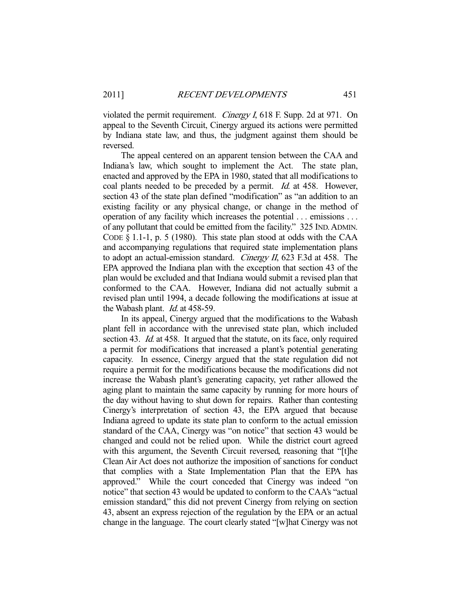violated the permit requirement. *Cinergy I*, 618 F. Supp. 2d at 971. On appeal to the Seventh Circuit, Cinergy argued its actions were permitted by Indiana state law, and thus, the judgment against them should be reversed.

 The appeal centered on an apparent tension between the CAA and Indiana's law, which sought to implement the Act. The state plan, enacted and approved by the EPA in 1980, stated that all modifications to coal plants needed to be preceded by a permit. *Id.* at 458. However, section 43 of the state plan defined "modification" as "an addition to an existing facility or any physical change, or change in the method of operation of any facility which increases the potential . . . emissions . . . of any pollutant that could be emitted from the facility." 325 IND.ADMIN. CODE § 1.1-1, p. 5 (1980). This state plan stood at odds with the CAA and accompanying regulations that required state implementation plans to adopt an actual-emission standard. *Cinergy II*, 623 F.3d at 458. The EPA approved the Indiana plan with the exception that section 43 of the plan would be excluded and that Indiana would submit a revised plan that conformed to the CAA. However, Indiana did not actually submit a revised plan until 1994, a decade following the modifications at issue at the Wabash plant. Id. at 458-59.

 In its appeal, Cinergy argued that the modifications to the Wabash plant fell in accordance with the unrevised state plan, which included section 43. *Id.* at 458. It argued that the statute, on its face, only required a permit for modifications that increased a plant's potential generating capacity. In essence, Cinergy argued that the state regulation did not require a permit for the modifications because the modifications did not increase the Wabash plant's generating capacity, yet rather allowed the aging plant to maintain the same capacity by running for more hours of the day without having to shut down for repairs. Rather than contesting Cinergy's interpretation of section 43, the EPA argued that because Indiana agreed to update its state plan to conform to the actual emission standard of the CAA, Cinergy was "on notice" that section 43 would be changed and could not be relied upon. While the district court agreed with this argument, the Seventh Circuit reversed, reasoning that "[t]he Clean Air Act does not authorize the imposition of sanctions for conduct that complies with a State Implementation Plan that the EPA has approved." While the court conceded that Cinergy was indeed "on notice" that section 43 would be updated to conform to the CAA's "actual emission standard," this did not prevent Cinergy from relying on section 43, absent an express rejection of the regulation by the EPA or an actual change in the language. The court clearly stated "[w]hat Cinergy was not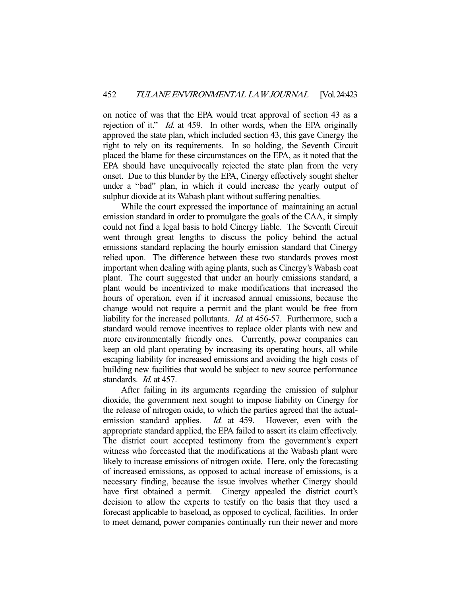on notice of was that the EPA would treat approval of section 43 as a rejection of it." *Id.* at 459. In other words, when the EPA originally approved the state plan, which included section 43, this gave Cinergy the right to rely on its requirements. In so holding, the Seventh Circuit placed the blame for these circumstances on the EPA, as it noted that the EPA should have unequivocally rejected the state plan from the very onset. Due to this blunder by the EPA, Cinergy effectively sought shelter under a "bad" plan, in which it could increase the yearly output of sulphur dioxide at its Wabash plant without suffering penalties.

 While the court expressed the importance of maintaining an actual emission standard in order to promulgate the goals of the CAA, it simply could not find a legal basis to hold Cinergy liable. The Seventh Circuit went through great lengths to discuss the policy behind the actual emissions standard replacing the hourly emission standard that Cinergy relied upon. The difference between these two standards proves most important when dealing with aging plants, such as Cinergy's Wabash coat plant. The court suggested that under an hourly emissions standard, a plant would be incentivized to make modifications that increased the hours of operation, even if it increased annual emissions, because the change would not require a permit and the plant would be free from liability for the increased pollutants. Id. at 456-57. Furthermore, such a standard would remove incentives to replace older plants with new and more environmentally friendly ones. Currently, power companies can keep an old plant operating by increasing its operating hours, all while escaping liability for increased emissions and avoiding the high costs of building new facilities that would be subject to new source performance standards. Id. at 457.

 After failing in its arguments regarding the emission of sulphur dioxide, the government next sought to impose liability on Cinergy for the release of nitrogen oxide, to which the parties agreed that the actualemission standard applies. *Id.* at 459. However, even with the appropriate standard applied, the EPA failed to assert its claim effectively. The district court accepted testimony from the government's expert witness who forecasted that the modifications at the Wabash plant were likely to increase emissions of nitrogen oxide. Here, only the forecasting of increased emissions, as opposed to actual increase of emissions, is a necessary finding, because the issue involves whether Cinergy should have first obtained a permit. Cinergy appealed the district court's decision to allow the experts to testify on the basis that they used a forecast applicable to baseload, as opposed to cyclical, facilities. In order to meet demand, power companies continually run their newer and more